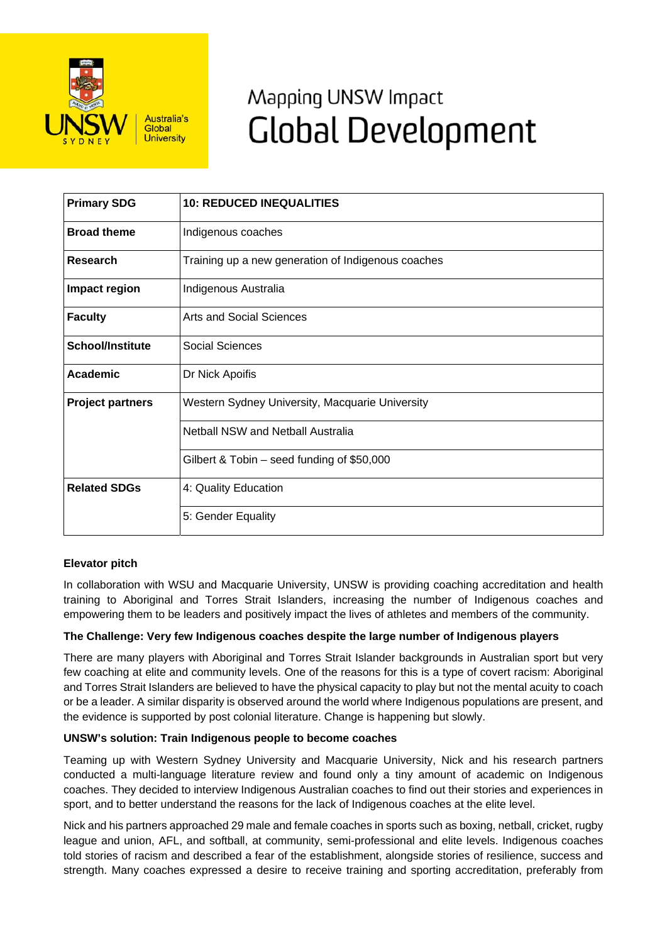

# Mapping UNSW Impact **Global Development**

| <b>Primary SDG</b>      | <b>10: REDUCED INEQUALITIES</b>                    |
|-------------------------|----------------------------------------------------|
| <b>Broad theme</b>      | Indigenous coaches                                 |
| <b>Research</b>         | Training up a new generation of Indigenous coaches |
| Impact region           | Indigenous Australia                               |
| <b>Faculty</b>          | <b>Arts and Social Sciences</b>                    |
| <b>School/Institute</b> | <b>Social Sciences</b>                             |
| <b>Academic</b>         | Dr Nick Apoifis                                    |
| <b>Project partners</b> | Western Sydney University, Macquarie University    |
|                         | <b>Netball NSW and Netball Australia</b>           |
|                         | Gilbert & Tobin - seed funding of \$50,000         |
| <b>Related SDGs</b>     | 4: Quality Education                               |
|                         | 5: Gender Equality                                 |

# **Elevator pitch**

In collaboration with WSU and Macquarie University, UNSW is providing coaching accreditation and health training to Aboriginal and Torres Strait Islanders, increasing the number of Indigenous coaches and empowering them to be leaders and positively impact the lives of athletes and members of the community.

# **The Challenge: Very few Indigenous coaches despite the large number of Indigenous players**

There are many players with Aboriginal and Torres Strait Islander backgrounds in Australian sport but very few coaching at elite and community levels. One of the reasons for this is a type of covert racism: Aboriginal and Torres Strait Islanders are believed to have the physical capacity to play but not the mental acuity to coach or be a leader. A similar disparity is observed around the world where Indigenous populations are present, and the evidence is supported by post colonial literature. Change is happening but slowly.

### **UNSW's solution: Train Indigenous people to become coaches**

Teaming up with Western Sydney University and Macquarie University, Nick and his research partners conducted a multi-language literature review and found only a tiny amount of academic on Indigenous coaches. They decided to interview Indigenous Australian coaches to find out their stories and experiences in sport, and to better understand the reasons for the lack of Indigenous coaches at the elite level.

Nick and his partners approached 29 male and female coaches in sports such as boxing, netball, cricket, rugby league and union, AFL, and softball, at community, semi-professional and elite levels. Indigenous coaches told stories of racism and described a fear of the establishment, alongside stories of resilience, success and strength. Many coaches expressed a desire to receive training and sporting accreditation, preferably from